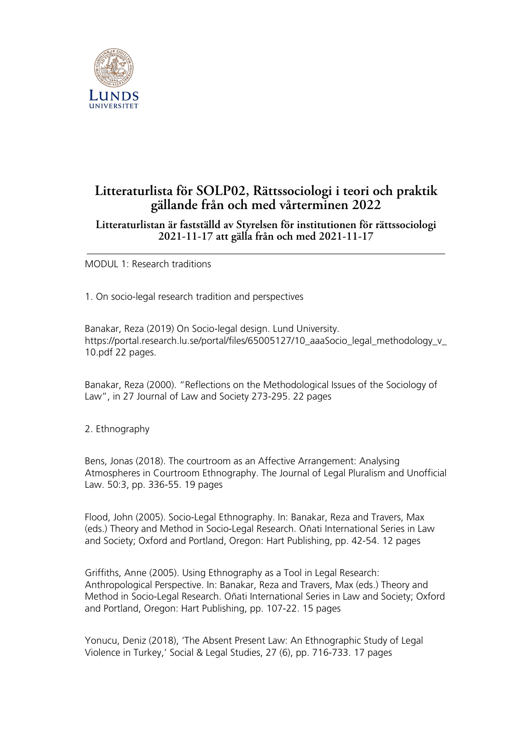

# **Litteraturlista för SOLP02, Rättssociologi i teori och praktik gällande från och med vårterminen 2022**

# **Litteraturlistan är fastställd av Styrelsen för institutionen för rättssociologi 2021-11-17 att gälla från och med 2021-11-17**

MODUL 1: Research traditions

1. On socio-legal research tradition and perspectives

Banakar, Reza (2019) On Socio-legal design. Lund University. https://portal.research.lu.se/portal/files/65005127/10\_aaaSocio\_legal\_methodology\_v 10.pdf 22 pages.

Banakar, Reza (2000). "Reflections on the Methodological Issues of the Sociology of Law", in 27 Journal of Law and Society 273-295. 22 pages

## 2. Ethnography

Bens, Jonas (2018). The courtroom as an Affective Arrangement: Analysing Atmospheres in Courtroom Ethnography. The Journal of Legal Pluralism and Unofficial Law. 50:3, pp. 336-55. 19 pages

Flood, John (2005). Socio-Legal Ethnography. In: Banakar, Reza and Travers, Max (eds.) Theory and Method in Socio-Legal Research. Oñati International Series in Law and Society; Oxford and Portland, Oregon: Hart Publishing, pp. 42-54. 12 pages

Griffiths, Anne (2005). Using Ethnography as a Tool in Legal Research: Anthropological Perspective. In: Banakar, Reza and Travers, Max (eds.) Theory and Method in Socio-Legal Research. Oñati International Series in Law and Society; Oxford and Portland, Oregon: Hart Publishing, pp. 107-22. 15 pages

Yonucu, Deniz (2018), 'The Absent Present Law: An Ethnographic Study of Legal Violence in Turkey,' Social & Legal Studies, 27 (6), pp. 716-733. 17 pages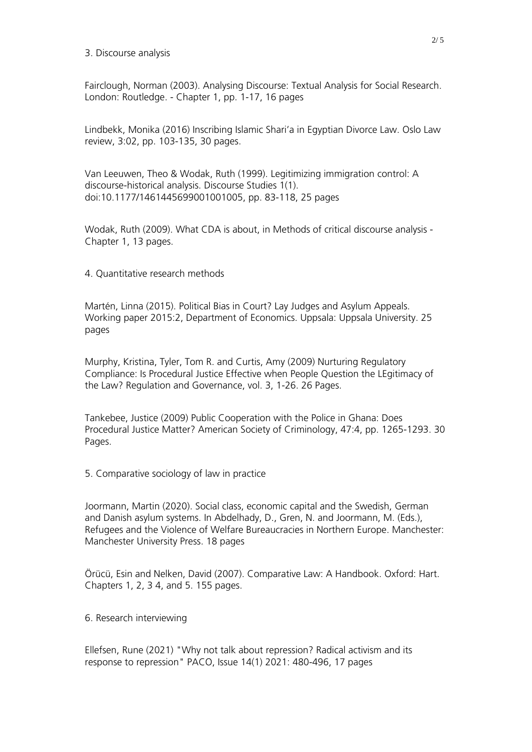3. Discourse analysis

Fairclough, Norman (2003). Analysing Discourse: Textual Analysis for Social Research. London: Routledge. - Chapter 1, pp. 1-17, 16 pages

Lindbekk, Monika (2016) Inscribing Islamic Shari'a in Egyptian Divorce Law. Oslo Law review, 3:02, pp. 103-135, 30 pages.

Van Leeuwen, Theo & Wodak, Ruth (1999). Legitimizing immigration control: A discourse-historical analysis. Discourse Studies 1(1). doi:10.1177/1461445699001001005, pp. 83-118, 25 pages

Wodak, Ruth (2009). What CDA is about, in Methods of critical discourse analysis - Chapter 1, 13 pages.

4. Quantitative research methods

Martén, Linna (2015). Political Bias in Court? Lay Judges and Asylum Appeals. Working paper 2015:2, Department of Economics. Uppsala: Uppsala University. 25 pages

Murphy, Kristina, Tyler, Tom R. and Curtis, Amy (2009) Nurturing Regulatory Compliance: Is Procedural Justice Effective when People Question the LEgitimacy of the Law? Regulation and Governance, vol. 3, 1-26. 26 Pages.

Tankebee, Justice (2009) Public Cooperation with the Police in Ghana: Does Procedural Justice Matter? American Society of Criminology, 47:4, pp. 1265-1293. 30 Pages.

5. Comparative sociology of law in practice

Joormann, Martin (2020). Social class, economic capital and the Swedish, German and Danish asylum systems. In Abdelhady, D., Gren, N. and Joormann, M. (Eds.), Refugees and the Violence of Welfare Bureaucracies in Northern Europe. Manchester: Manchester University Press. 18 pages

Örücü, Esin and Nelken, David (2007). Comparative Law: A Handbook. Oxford: Hart. Chapters 1, 2, 3 4, and 5. 155 pages.

6. Research interviewing

Ellefsen, Rune (2021) "Why not talk about repression? Radical activism and its response to repression" PACO, Issue 14(1) 2021: 480-496, 17 pages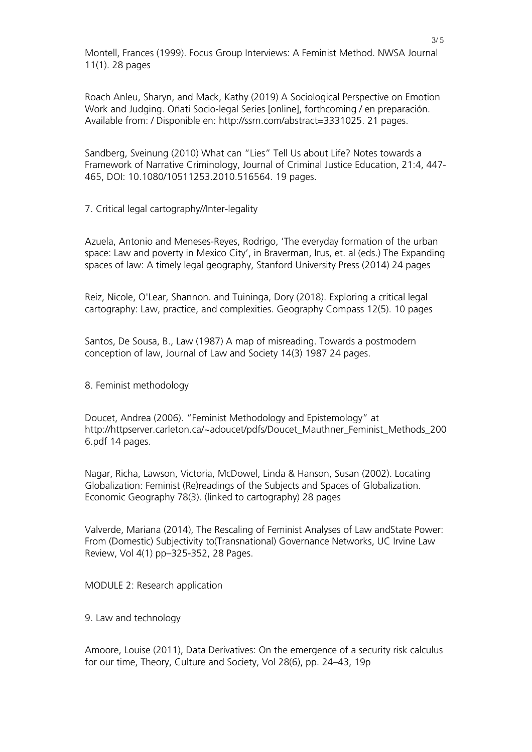Montell, Frances (1999). Focus Group Interviews: A Feminist Method. NWSA Journal 11(1). 28 pages

Roach Anleu, Sharyn, and Mack, Kathy (2019) A Sociological Perspective on Emotion Work and Judging. Oñati Socio-legal Series [online], forthcoming / en preparación. Available from: / Disponible en: http://ssrn.com/abstract=3331025. 21 pages.

Sandberg, Sveinung (2010) What can "Lies" Tell Us about Life? Notes towards a Framework of Narrative Criminology, Journal of Criminal Justice Education, 21:4, 447- 465, DOI: 10.1080/10511253.2010.516564. 19 pages.

7. Critical legal cartography//Inter-legality

Azuela, Antonio and Meneses-Reyes, Rodrigo, 'The everyday formation of the urban space: Law and poverty in Mexico City', in Braverman, Irus, et. al (eds.) The Expanding spaces of law: A timely legal geography, Stanford University Press (2014) 24 pages

Reiz, Nicole, O'Lear, Shannon. and Tuininga, Dory (2018). Exploring a critical legal cartography: Law, practice, and complexities. Geography Compass 12(5). 10 pages

Santos, De Sousa, B., Law (1987) A map of misreading. Towards a postmodern conception of law, Journal of Law and Society 14(3) 1987 24 pages.

8. Feminist methodology

Doucet, Andrea (2006). "Feminist Methodology and Epistemology" at http://httpserver.carleton.ca/~adoucet/pdfs/Doucet\_Mauthner\_Feminist\_Methods\_200 6.pdf 14 pages.

Nagar, Richa, Lawson, Victoria, McDowel, Linda & Hanson, Susan (2002). Locating Globalization: Feminist (Re)readings of the Subjects and Spaces of Globalization. Economic Geography 78(3). (linked to cartography) 28 pages

Valverde, Mariana (2014), The Rescaling of Feminist Analyses of Law andState Power: From (Domestic) Subjectivity to(Transnational) Governance Networks, UC Irvine Law Review, Vol 4(1) pp–325-352, 28 Pages.

MODULE 2: Research application

9. Law and technology

Amoore, Louise (2011), Data Derivatives: On the emergence of a security risk calculus for our time, Theory, Culture and Society, Vol 28(6), pp. 24–43, 19p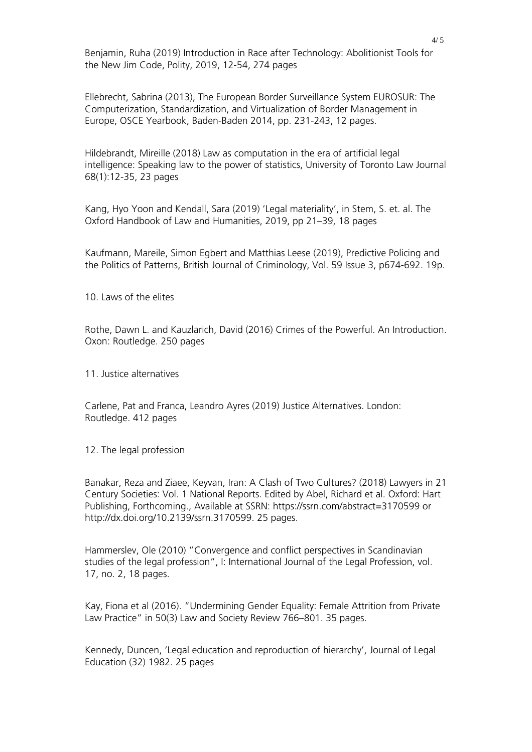Benjamin, Ruha (2019) Introduction in Race after Technology: Abolitionist Tools for the New Jim Code, Polity, 2019, 12-54, 274 pages

Ellebrecht, Sabrina (2013), The European Border Surveillance System EUROSUR: The Computerization, Standardization, and Virtualization of Border Management in Europe, OSCE Yearbook, Baden-Baden 2014, pp. 231-243, 12 pages.

Hildebrandt, Mireille (2018) Law as computation in the era of artificial legal intelligence: Speaking law to the power of statistics, University of Toronto Law Journal 68(1):12-35, 23 pages

Kang, Hyo Yoon and Kendall, Sara (2019) 'Legal materiality', in Stem, S. et. al. The Oxford Handbook of Law and Humanities, 2019, pp 21–39, 18 pages

Kaufmann, Mareile, Simon Egbert and Matthias Leese (2019), Predictive Policing and the Politics of Patterns, British Journal of Criminology, Vol. 59 Issue 3, p674-692. 19p.

10. Laws of the elites

Rothe, Dawn L. and Kauzlarich, David (2016) Crimes of the Powerful. An Introduction. Oxon: Routledge. 250 pages

11. Justice alternatives

Carlene, Pat and Franca, Leandro Ayres (2019) Justice Alternatives. London: Routledge. 412 pages

12. The legal profession

Banakar, Reza and Ziaee, Keyvan, Iran: A Clash of Two Cultures? (2018) Lawyers in 21 Century Societies: Vol. 1 National Reports. Edited by Abel, Richard et al. Oxford: Hart Publishing, Forthcoming., Available at SSRN: https://ssrn.com/abstract=3170599 or http://dx.doi.org/10.2139/ssrn.3170599. 25 pages.

Hammerslev, Ole (2010) "Convergence and conflict perspectives in Scandinavian studies of the legal profession", I: International Journal of the Legal Profession, vol. 17, no. 2, 18 pages.

Kay, Fiona et al (2016). "Undermining Gender Equality: Female Attrition from Private Law Practice" in 50(3) Law and Society Review 766–801. 35 pages.

Kennedy, Duncen, 'Legal education and reproduction of hierarchy', Journal of Legal Education (32) 1982. 25 pages